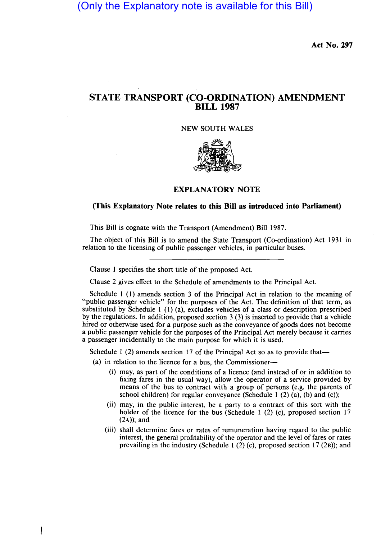(Only the Explanatory note is available for this Bill)

Act No. 297

## STATE TRANSPORT (CO-ORDINATION) AMENDMENT BILL 1987

## NEW SOUTH WALES



## EXPLANATORY NOTE

## (This Explanatory Note relates to this Bill as introduced into Parliament)

This Bill is cognate with the Transport (Amendment) Bill 1987.

The object of this Bill is to amend the State Transport (Co-ordination) Act 1931 in relation to the licensing of public passenger vehicles, in particular buses.

Clause 1 specifies the short title of the proposed Act.

Clause 2 gives effect to the Schedule of amendments to the Principal Act.

Schedule 1 (1) amends section 3 of the Principal Act in relation to the meaning of "public passenger vehicle" for the purposes of the Act. The definition of that term, as substituted by Schedule 1 (l) (a), excludes vehicles of a class or description prescribed by the regulations. In addition, proposed section 3 (3) is inserted to provide that a vehicle hired or otherwise used for a purpose such as the conveyance of goods does not become a public passenger vehicle for the purposes of the Principal Act merely because it carries a passenger incidentally to the main purpose for which it is used.

Schedule 1 (2) amends section 17 of the Principal Act so as to provide that—

(a) in relation to the licence for a bus, the Commissioner-

ł

- (i) may, as part of the conditions of a licence (and instead of or in addition to fixing fares in the usual way), allow the operator of a service provided by means of the bus to contract with a group of persons (e.g. the parents of school children) for regular conveyance (Schedule 1  $(2)$   $(a)$ ,  $(b)$  and  $(c)$ );
- (ii) may, in the public interest, be a party to a contract of this sort with the holder of the licence for the bus (Schedule 1 (2) (c), proposed section 17  $(2A)$ ; and
- (iii) shall determine fares or rates of remuneration having regard to the public interest, the general profitability of the operator and the level of fares or rates prevailing in the industry (Schedule 1  $(2)$  (c), proposed section 17  $(2B)$ ; and